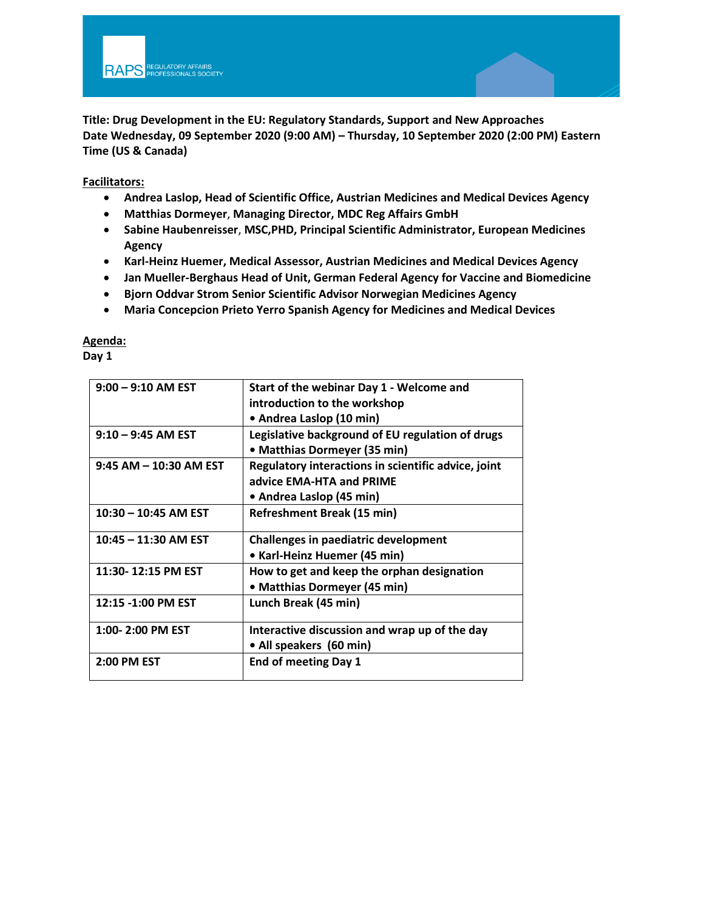**Title: Drug Development in the EU: Regulatory Standards, Support and New Approaches Date Wednesday, 09 September 2020 (9:00 AM) – Thursday, 10 September 2020 (2:00 PM) Eastern Time (US & Canada)**

**Facilitators:** 

- **Andrea Laslop, Head of Scientific Office, Austrian Medicines and Medical Devices Agency**
- **Matthias Dormeyer**, **Managing Director, MDC Reg Affairs GmbH**
- **Sabine Haubenreisser**, **MSC,PHD, Principal Scientific Administrator, European Medicines Agency**
- **Karl-Heinz Huemer, Medical Assessor, Austrian Medicines and Medical Devices Agency**
- **Jan Mueller-Berghaus Head of Unit, German Federal Agency for Vaccine and Biomedicine**
- **Bjorn Oddvar Strom Senior Scientific Advisor Norwegian Medicines Agency**
- **Maria Concepcion Prieto Yerro Spanish Agency for Medicines and Medical Devices**

**Agenda:** 

**Day 1** 

| $9:00 - 9:10$ AM EST   | Start of the webinar Day 1 - Welcome and            |
|------------------------|-----------------------------------------------------|
|                        | introduction to the workshop                        |
|                        | • Andrea Laslop (10 min)                            |
| $9:10 - 9:45$ AM EST   | Legislative background of EU regulation of drugs    |
|                        | • Matthias Dormeyer (35 min)                        |
| 9:45 AM - 10:30 AM EST | Regulatory interactions in scientific advice, joint |
|                        | advice EMA-HTA and PRIME                            |
|                        | • Andrea Laslop (45 min)                            |
| $10:30 - 10:45$ AM EST | <b>Refreshment Break (15 min)</b>                   |
|                        |                                                     |
| 10:45 - 11:30 AM EST   | <b>Challenges in paediatric development</b>         |
|                        | • Karl-Heinz Huemer (45 min)                        |
| 11:30-12:15 PM EST     | How to get and keep the orphan designation          |
|                        | • Matthias Dormeyer (45 min)                        |
| 12:15 -1:00 PM EST     | Lunch Break (45 min)                                |
|                        |                                                     |
| 1:00-2:00 PM EST       | Interactive discussion and wrap up of the day       |
|                        | • All speakers (60 min)                             |
| 2:00 PM EST            | <b>End of meeting Day 1</b>                         |
|                        |                                                     |